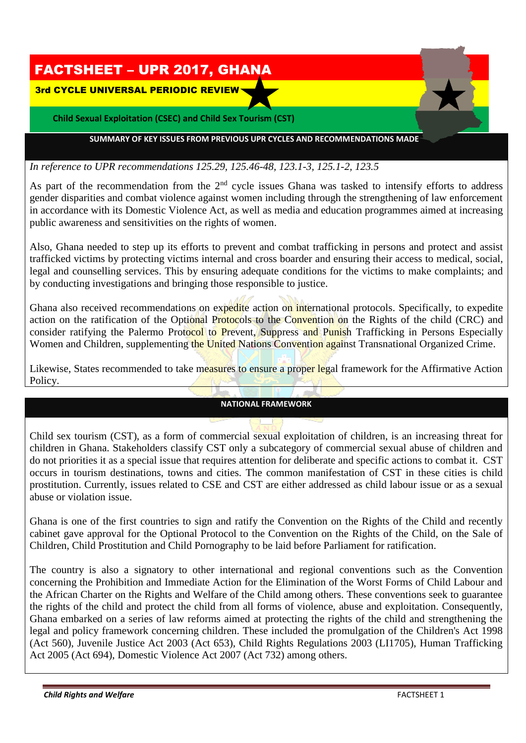

## *In reference to UPR recommendations 125.29, 125.46-48, 123.1-3, 125.1-2, 123.5*

As part of the recommendation from the 2<sup>nd</sup> cycle issues Ghana was tasked to intensify efforts to address gender disparities and combat violence against women including through the strengthening of law enforcement in accordance with its Domestic Violence Act, as well as media and education programmes aimed at increasing public awareness and sensitivities on the rights of women.

Also, Ghana needed to step up its efforts to prevent and combat trafficking in persons and protect and assist trafficked victims by protecting victims internal and cross boarder and ensuring their access to medical, social, legal and counselling services. This by ensuring adequate conditions for the victims to make complaints; and by conducting investigations and bringing those responsible to justice.

Ghana also received recommendations on expedite action on international protocols. Specifically, to expedite action on the ratification of the Optional Protocols to the Convention on the Rights of the child (CRC) and consider ratifying the Palermo Protocol to Prevent, Suppress and Punish Trafficking in Persons Especially Women and Children, supplementing the United Nations Convention against Transnational Organized Crime.

Likewise, States recommended to take measures to ensure a proper legal framework for the Affirmative Action Policy.

## **NATIONAL FRAMEWORK**

Child sex tourism (CST), as a form of commercial sexual exploitation of children, is an increasing threat for children in Ghana. Stakeholders classify CST only a subcategory of commercial sexual abuse of children and do not priorities it as a special issue that requires attention for deliberate and specific actions to combat it. CST occurs in tourism destinations, towns and cities. The common manifestation of CST in these cities is child prostitution. Currently, issues related to CSE and CST are either addressed as child labour issue or as a sexual abuse or violation issue.

Ghana is one of the first countries to sign and ratify the Convention on the Rights of the Child and recently cabinet gave approval for the Optional Protocol to the Convention on the Rights of the Child, on the Sale of Children, Child Prostitution and Child Pornography to be laid before Parliament for ratification.

The country is also a signatory to other international and regional conventions such as the Convention concerning the Prohibition and Immediate Action for the Elimination of the Worst Forms of Child Labour and the African Charter on the Rights and Welfare of the Child among others. These conventions seek to guarantee the rights of the child and protect the child from all forms of violence, abuse and exploitation. Consequently, Ghana embarked on a series of law reforms aimed at protecting the rights of the child and strengthening the legal and policy framework concerning children. These included the promulgation of the Children's Act 1998 (Act 560), Juvenile Justice Act 2003 (Act 653), Child Rights Regulations 2003 (LI1705), Human Trafficking Act 2005 (Act 694), Domestic Violence Act 2007 (Act 732) among others.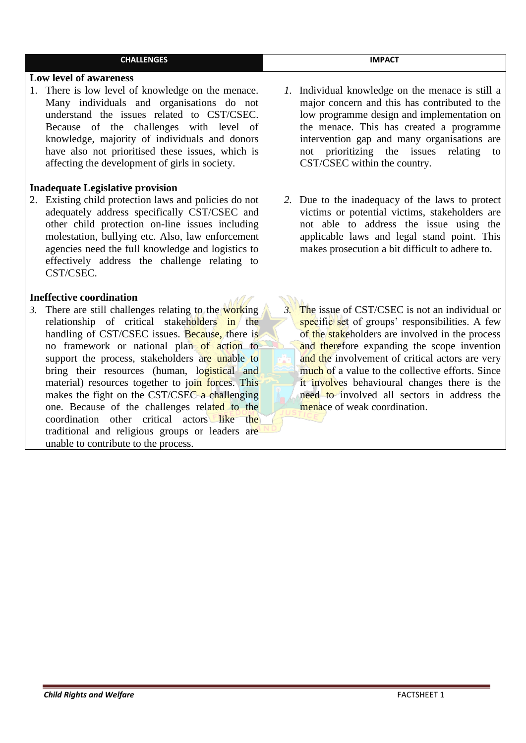| <b>CHALLENGES</b>                                                                                                                                                                                                                                                                                                                                                                                                                                                                                                                                                                                            | <b>IMPACT</b>                                                                                                                                                                                                                                                                                                                                                                                                                                           |
|--------------------------------------------------------------------------------------------------------------------------------------------------------------------------------------------------------------------------------------------------------------------------------------------------------------------------------------------------------------------------------------------------------------------------------------------------------------------------------------------------------------------------------------------------------------------------------------------------------------|---------------------------------------------------------------------------------------------------------------------------------------------------------------------------------------------------------------------------------------------------------------------------------------------------------------------------------------------------------------------------------------------------------------------------------------------------------|
| Low level of awareness                                                                                                                                                                                                                                                                                                                                                                                                                                                                                                                                                                                       |                                                                                                                                                                                                                                                                                                                                                                                                                                                         |
| 1. There is low level of knowledge on the menace.<br>Many individuals and organisations do not<br>understand the issues related to CST/CSEC.<br>Because of the challenges with level of<br>knowledge, majority of individuals and donors<br>have also not prioritised these issues, which is<br>affecting the development of girls in society.                                                                                                                                                                                                                                                               | <i>l</i> . Individual knowledge on the menace is still a<br>major concern and this has contributed to the<br>low programme design and implementation on<br>the menace. This has created a programme<br>intervention gap and many organisations are<br>prioritizing the issues<br>relating<br>not<br>to<br>CST/CSEC within the country.                                                                                                                  |
| <b>Inadequate Legislative provision</b>                                                                                                                                                                                                                                                                                                                                                                                                                                                                                                                                                                      |                                                                                                                                                                                                                                                                                                                                                                                                                                                         |
| 2. Existing child protection laws and policies do not<br>adequately address specifically CST/CSEC and<br>other child protection on-line issues including<br>molestation, bullying etc. Also, law enforcement<br>agencies need the full knowledge and logistics to<br>effectively address the challenge relating to<br>CST/CSEC.                                                                                                                                                                                                                                                                              | 2. Due to the inadequacy of the laws to protect<br>victims or potential victims, stakeholders are<br>not able to address the issue using the<br>applicable laws and legal stand point. This<br>makes prosecution a bit difficult to adhere to.                                                                                                                                                                                                          |
| <b>Ineffective coordination</b>                                                                                                                                                                                                                                                                                                                                                                                                                                                                                                                                                                              |                                                                                                                                                                                                                                                                                                                                                                                                                                                         |
| 3. There are still challenges relating to the working<br>relationship of critical stakeholders in the<br>handling of CST/CSEC issues. Because, there is<br>no framework or national plan of action to<br>support the process, stakeholders are unable to<br>bring their resources (human, logistical and<br>material) resources together to join forces. This<br>makes the fight on the CST/CSEC a challenging<br>one. Because of the challenges related to the<br>coordination other critical actors like<br>the<br>traditional and religious groups or leaders are<br>unable to contribute to the process. | The issue of CST/CSEC is not an individual or<br>$3^{\circ}$<br>specific set of groups' responsibilities. A few<br>of the stakeholders are involved in the process<br>and therefore expanding the scope invention<br>and the involvement of critical actors are very<br>much of a value to the collective efforts. Since<br>it involves behavioural changes there is the<br>need to involved all sectors in address the<br>menace of weak coordination. |